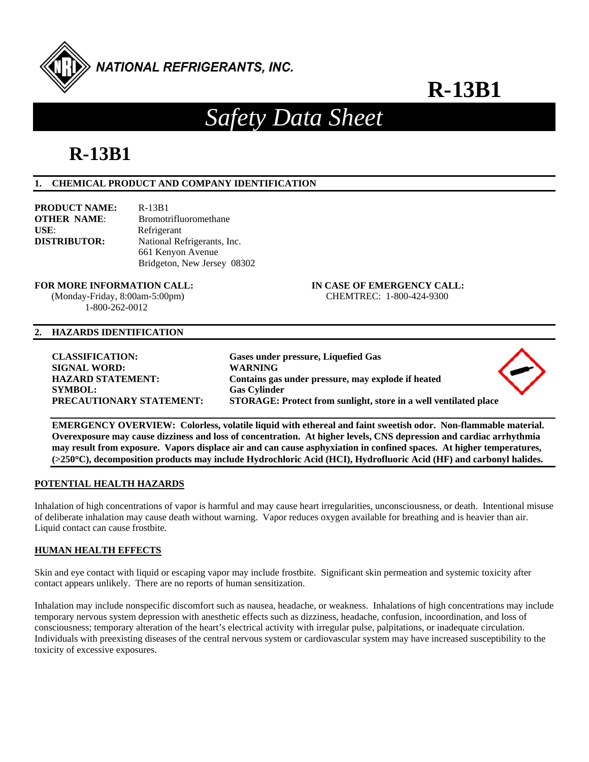

# *Safety Data Sheet*

# **R-13B1**

# **1. CHEMICAL PRODUCT AND COMPANY IDENTIFICATION**

| PRODUCT NAME:       | $R-13B1$                     |
|---------------------|------------------------------|
| <b>OTHER NAME:</b>  | <b>Bromotrifluoromethane</b> |
| USE:                | Refrigerant                  |
| <b>DISTRIBUTOR:</b> | National Refrigerants, Inc.  |
|                     | 661 Kenyon Avenue            |
|                     | Bridgeton, New Jersey 08302  |

# **FOR MORE INFORMATION CALL: IN CASE OF EMERGENCY CALL:**

 (Monday-Friday, 8:00am-5:00pm) CHEMTREC: 1-800-424-9300 1-800-262-0012

# **2. HAZARDS IDENTIFICATION**

# **CLASSIFICATION: Gases under pressure, Liquefied Gas SIGNAL WORD: WARNING HAZARD STATEMENT: Contains gas under pressure, may explode if heated SYMBOL: Gas Cylinder PRECAUTIONARY STATEMENT: STORAGE: Protect from sunlight, store in a well ventilated place**



**POTENTIAL HEALTH HAZARDS** 

Inhalation of high concentrations of vapor is harmful and may cause heart irregularities, unconsciousness, or death. Intentional misuse of deliberate inhalation may cause death without warning. Vapor reduces oxygen available for breathing and is heavier than air. Liquid contact can cause frostbite.

**(>250C), decomposition products may include Hydrochloric Acid (HCI), Hydrofluoric Acid (HF) and carbonyl halides.** 

# **HUMAN HEALTH EFFECTS**

Skin and eye contact with liquid or escaping vapor may include frostbite. Significant skin permeation and systemic toxicity after contact appears unlikely. There are no reports of human sensitization.

Inhalation may include nonspecific discomfort such as nausea, headache, or weakness. Inhalations of high concentrations may include temporary nervous system depression with anesthetic effects such as dizziness, headache, confusion, incoordination, and loss of consciousness; temporary alteration of the heart's electrical activity with irregular pulse, palpitations, or inadequate circulation. Individuals with preexisting diseases of the central nervous system or cardiovascular system may have increased susceptibility to the toxicity of excessive exposures.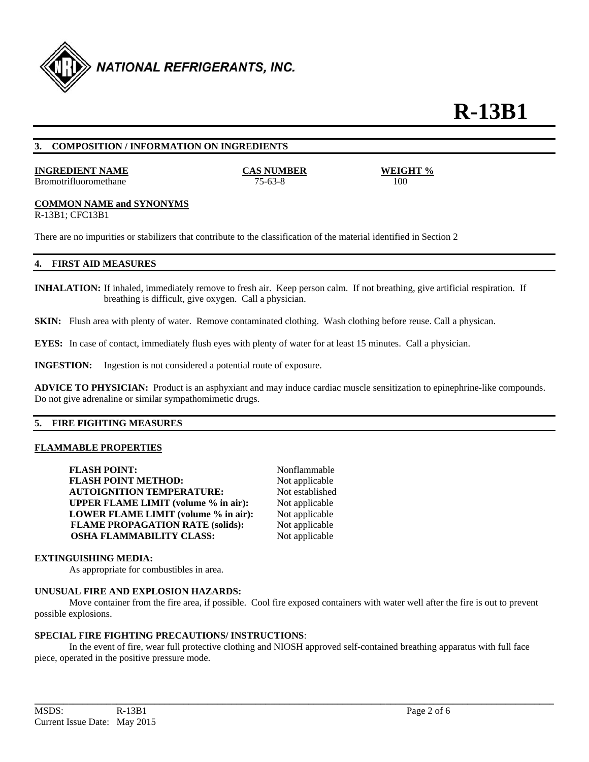

#### **3. COMPOSITION / INFORMATION ON INGREDIENTS**

#### **INGREDIENT NAME CAS NUMBER WEIGHT %**

Bromotrifluoromethane 75-63-8 100

# **COMMON NAME and SYNONYMS**

R-13B1; CFC13B1

There are no impurities or stabilizers that contribute to the classification of the material identified in Section 2

#### **4. FIRST AID MEASURES**

**INHALATION:** If inhaled, immediately remove to fresh air. Keep person calm. If not breathing, give artificial respiration. If breathing is difficult, give oxygen. Call a physician.

**SKIN:** Flush area with plenty of water. Remove contaminated clothing. Wash clothing before reuse. Call a physican.

**EYES:** In case of contact, immediately flush eyes with plenty of water for at least 15 minutes. Call a physician.

**INGESTION:** Ingestion is not considered a potential route of exposure.

**ADVICE TO PHYSICIAN:** Product is an asphyxiant and may induce cardiac muscle sensitization to epinephrine-like compounds. Do not give adrenaline or similar sympathomimetic drugs.

# **5. FIRE FIGHTING MEASURES**

#### **FLAMMABLE PROPERTIES**

**FLASH POINT:** Nonflammable **FLASH POINT METHOD:** Not applicable **AUTOIGNITION TEMPERATURE:** Not established **UPPER FLAME LIMIT (volume % in air):** Not applicable **LOWER FLAME LIMIT (volume % in air):** Not applicable **FLAME PROPAGATION RATE (solids):** Not applicable **OSHA FLAMMABILITY CLASS:** Not applicable

#### **EXTINGUISHING MEDIA:**

As appropriate for combustibles in area.

#### **UNUSUAL FIRE AND EXPLOSION HAZARDS:**

 Move container from the fire area, if possible. Cool fire exposed containers with water well after the fire is out to prevent possible explosions.

#### **SPECIAL FIRE FIGHTING PRECAUTIONS/ INSTRUCTIONS**:

 In the event of fire, wear full protective clothing and NIOSH approved self-contained breathing apparatus with full face piece, operated in the positive pressure mode.

**\_\_\_\_\_\_\_\_\_\_\_\_\_\_\_\_\_\_\_\_\_\_\_\_\_\_\_\_\_\_\_\_\_\_\_\_\_\_\_\_\_\_\_\_\_\_\_\_\_\_\_\_\_\_\_\_\_\_\_\_\_\_\_\_\_\_\_\_\_\_\_\_\_\_\_\_\_\_\_\_\_\_\_\_\_\_\_\_\_\_\_\_\_\_\_\_\_\_\_\_\_\_\_\_\_\_\_\_**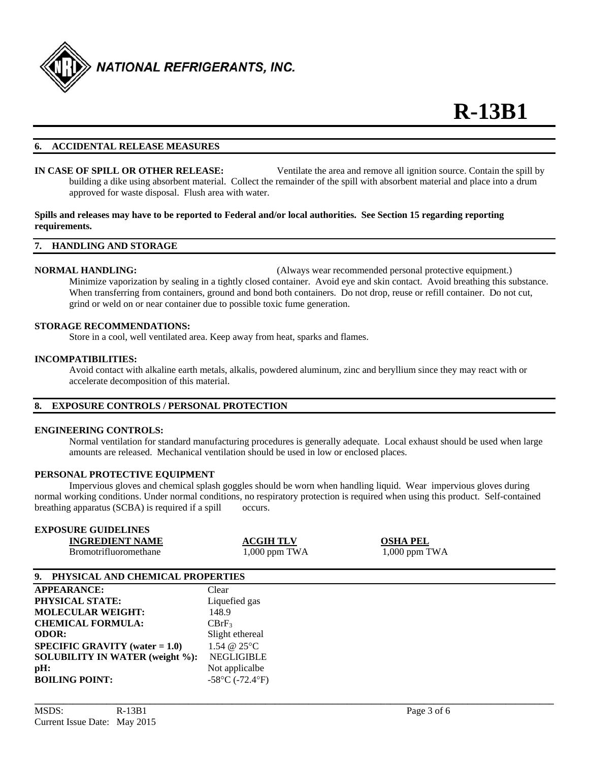

# **6. ACCIDENTAL RELEASE MEASURES**

**IN CASE OF SPILL OR OTHER RELEASE:** Ventilate the area and remove all ignition source. Contain the spill by building a dike using absorbent material. Collect the remainder of the spill with absorbent material and place into a drum approved for waste disposal. Flush area with water.

# **Spills and releases may have to be reported to Federal and/or local authorities. See Section 15 regarding reporting requirements.**

#### **7. HANDLING AND STORAGE**

**NORMAL HANDLING:** (Always wear recommended personal protective equipment.) Minimize vaporization by sealing in a tightly closed container. Avoid eye and skin contact. Avoid breathing this substance. When transferring from containers, ground and bond both containers. Do not drop, reuse or refill container. Do not cut, grind or weld on or near container due to possible toxic fume generation.

#### **STORAGE RECOMMENDATIONS:**

Store in a cool, well ventilated area. Keep away from heat, sparks and flames.

#### **INCOMPATIBILITIES:**

Avoid contact with alkaline earth metals, alkalis, powdered aluminum, zinc and beryllium since they may react with or accelerate decomposition of this material.

# **8. EXPOSURE CONTROLS / PERSONAL PROTECTION**

#### **ENGINEERING CONTROLS:**

 Normal ventilation for standard manufacturing procedures is generally adequate. Local exhaust should be used when large amounts are released. Mechanical ventilation should be used in low or enclosed places.

#### **PERSONAL PROTECTIVE EQUIPMENT**

 Impervious gloves and chemical splash goggles should be worn when handling liquid. Wear impervious gloves during normal working conditions. Under normal conditions, no respiratory protection is required when using this product. Self-contained breathing apparatus (SCBA) is required if a spill occurs.

| <b>EXPOSURE GUIDELINES</b>          |                  |                 |  |
|-------------------------------------|------------------|-----------------|--|
| <b>INGREDIENT NAME</b>              | <b>ACGIH TLV</b> | <b>OSHA PEL</b> |  |
| <b>Bromotrifluoromethane</b>        | $1,000$ ppm TWA  | $1,000$ ppm TWA |  |
|                                     |                  |                 |  |
| 9. PHYSICAL AND CHEMICAL PROPERTIES |                  |                 |  |
|                                     |                  |                 |  |

**\_\_\_\_\_\_\_\_\_\_\_\_\_\_\_\_\_\_\_\_\_\_\_\_\_\_\_\_\_\_\_\_\_\_\_\_\_\_\_\_\_\_\_\_\_\_\_\_\_\_\_\_\_\_\_\_\_\_\_\_\_\_\_\_\_\_\_\_\_\_\_\_\_\_\_\_\_\_\_\_\_\_\_\_\_\_\_\_\_\_\_\_\_\_\_\_\_\_\_\_\_\_\_\_\_\_\_\_** 

| <b>APPEARANCE:</b>                       | Clear                                |
|------------------------------------------|--------------------------------------|
| PHYSICAL STATE:                          | Liquefied gas                        |
| <b>MOLECULAR WEIGHT:</b>                 | 148.9                                |
| <b>CHEMICAL FORMULA:</b>                 | $CBrF_3$                             |
| <b>ODOR:</b>                             | Slight ethereal                      |
| <b>SPECIFIC GRAVITY</b> (water $= 1.0$ ) | 1.54 @ 25°C                          |
| <b>SOLUBILITY IN WATER (weight %):</b>   | <b>NEGLIGIBLE</b>                    |
| pH:                                      | Not applicalbe                       |
| <b>BOILING POINT:</b>                    | $-58^{\circ}$ C ( $-72.4^{\circ}$ F) |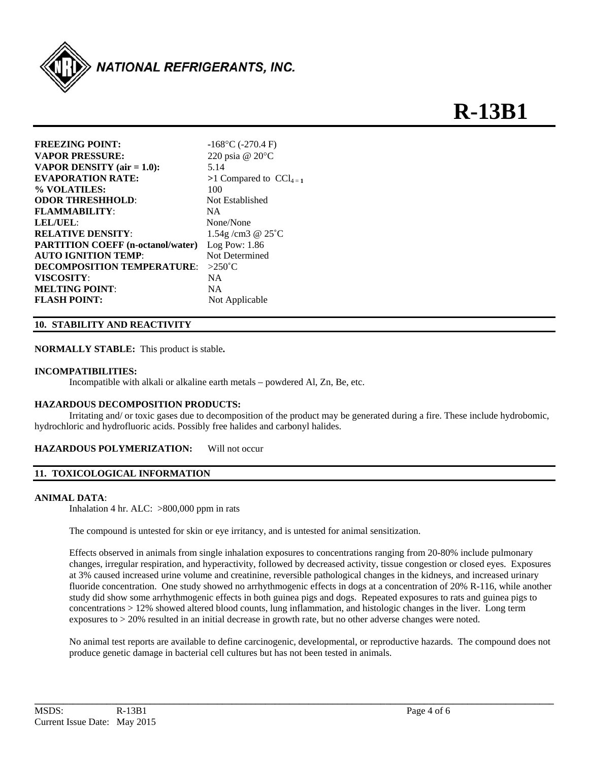

| <b>FREEZING POINT:</b>                   | $-168$ °C (-270.4 F)              |
|------------------------------------------|-----------------------------------|
| <b>VAPOR PRESSURE:</b>                   | 220 psia $@$ 20 $°C$              |
| <b>VAPOR DENSITY</b> (air $= 1.0$ ):     | 5.14                              |
| <b>EVAPORATION RATE:</b>                 | >1 Compared to $\text{CCl}_{4=1}$ |
| % VOLATILES:                             | 100                               |
| <b>ODOR THRESHHOLD:</b>                  | Not Established                   |
| <b>FLAMMABILITY:</b>                     | <b>NA</b>                         |
| LEL/UEL:                                 | None/None                         |
| <b>RELATIVE DENSITY:</b>                 | 1.54g/cm3 $@25^{\circ}C$          |
| <b>PARTITION COEFF (n-octanol/water)</b> | Log Pow: 1.86                     |
| <b>AUTO IGNITION TEMP:</b>               | Not Determined                    |
| <b>DECOMPOSITION TEMPERATURE:</b>        | $>250^{\circ}$ C                  |
| VISCOSITY:                               | NA.                               |
| <b>MELTING POINT:</b>                    | NA.                               |
| <b>FLASH POINT:</b>                      | Not Applicable                    |
|                                          |                                   |

# **10. STABILITY AND REACTIVITY**

**NORMALLY STABLE:** This product is stable**.** 

# **INCOMPATIBILITIES:**

Incompatible with alkali or alkaline earth metals – powdered Al, Zn, Be, etc.

# **HAZARDOUS DECOMPOSITION PRODUCTS:**

 Irritating and/ or toxic gases due to decomposition of the product may be generated during a fire. These include hydrobomic, hydrochloric and hydrofluoric acids. Possibly free halides and carbonyl halides.

# **HAZARDOUS POLYMERIZATION:** Will not occur

# **11. TOXICOLOGICAL INFORMATION**

# **ANIMAL DATA**:

Inhalation 4 hr. ALC: >800,000 ppm in rats

The compound is untested for skin or eye irritancy, and is untested for animal sensitization.

Effects observed in animals from single inhalation exposures to concentrations ranging from 20-80% include pulmonary changes, irregular respiration, and hyperactivity, followed by decreased activity, tissue congestion or closed eyes. Exposures at 3% caused increased urine volume and creatinine, reversible pathological changes in the kidneys, and increased urinary fluoride concentration. One study showed no arrhythmogenic effects in dogs at a concentration of 20% R-116, while another study did show some arrhythmogenic effects in both guinea pigs and dogs. Repeated exposures to rats and guinea pigs to concentrations > 12% showed altered blood counts, lung inflammation, and histologic changes in the liver. Long term exposures to > 20% resulted in an initial decrease in growth rate, but no other adverse changes were noted.

No animal test reports are available to define carcinogenic, developmental, or reproductive hazards. The compound does not produce genetic damage in bacterial cell cultures but has not been tested in animals.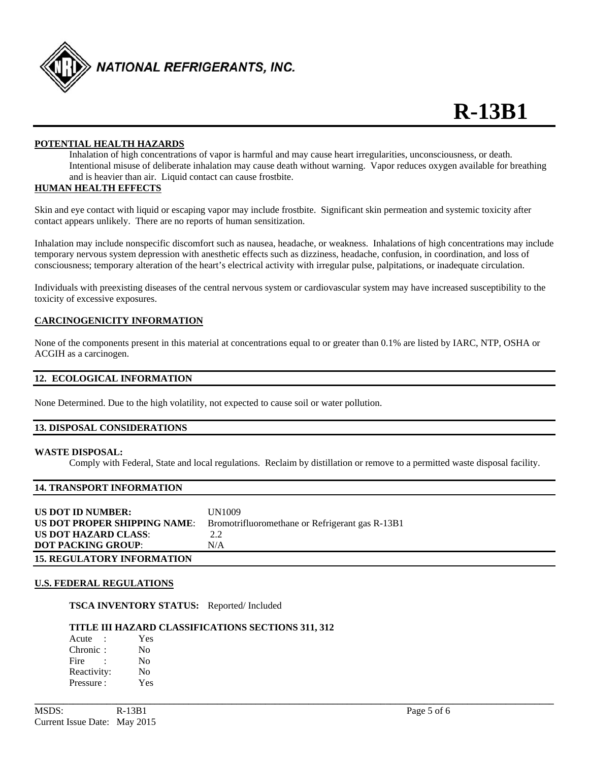

# **POTENTIAL HEALTH HAZARDS**

 Inhalation of high concentrations of vapor is harmful and may cause heart irregularities, unconsciousness, or death. Intentional misuse of deliberate inhalation may cause death without warning. Vapor reduces oxygen available for breathing and is heavier than air. Liquid contact can cause frostbite.

# **HUMAN HEALTH EFFECTS**

Skin and eye contact with liquid or escaping vapor may include frostbite. Significant skin permeation and systemic toxicity after contact appears unlikely. There are no reports of human sensitization.

Inhalation may include nonspecific discomfort such as nausea, headache, or weakness. Inhalations of high concentrations may include temporary nervous system depression with anesthetic effects such as dizziness, headache, confusion, in coordination, and loss of consciousness; temporary alteration of the heart's electrical activity with irregular pulse, palpitations, or inadequate circulation.

Individuals with preexisting diseases of the central nervous system or cardiovascular system may have increased susceptibility to the toxicity of excessive exposures.

# **CARCINOGENICITY INFORMATION**

None of the components present in this material at concentrations equal to or greater than 0.1% are listed by IARC, NTP, OSHA or ACGIH as a carcinogen.

# **12. ECOLOGICAL INFORMATION**

None Determined. Due to the high volatility, not expected to cause soil or water pollution.

# **13. DISPOSAL CONSIDERATIONS**

# **WASTE DISPOSAL:**

Comply with Federal, State and local regulations. Reclaim by distillation or remove to a permitted waste disposal facility.

# **14. TRANSPORT INFORMATION**

|  | US DOT ID NUMBER:<br>US DOT PROPER SHIPPING NAME:<br><b>US DOT HAZARD CLASS:</b><br><b>DOT PACKING GROUP:</b> | UN1009<br>Bromotrifluoromethane or Refrigerant gas R-13B1<br>2.2<br>N/A |
|--|---------------------------------------------------------------------------------------------------------------|-------------------------------------------------------------------------|
|--|---------------------------------------------------------------------------------------------------------------|-------------------------------------------------------------------------|

**\_\_\_\_\_\_\_\_\_\_\_\_\_\_\_\_\_\_\_\_\_\_\_\_\_\_\_\_\_\_\_\_\_\_\_\_\_\_\_\_\_\_\_\_\_\_\_\_\_\_\_\_\_\_\_\_\_\_\_\_\_\_\_\_\_\_\_\_\_\_\_\_\_\_\_\_\_\_\_\_\_\_\_\_\_\_\_\_\_\_\_\_\_\_\_\_\_\_\_\_\_\_\_\_\_\_\_\_** 

#### **U.S. FEDERAL REGULATIONS**

**TSCA INVENTORY STATUS:** Reported/ Included

# **TITLE III HAZARD CLASSIFICATIONS SECTIONS 311, 312**

Acute : Yes Chronic : No Fire : No Reactivity: No Pressure : Yes